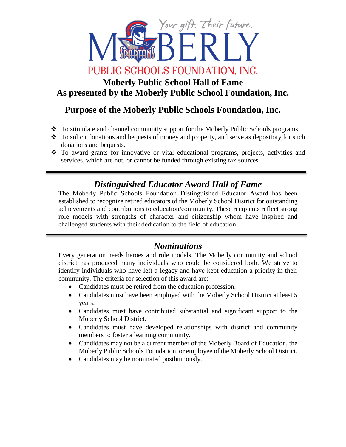

# **Moberly Public School Hall of Fame As presented by the Moberly Public School Foundation, Inc.**

# **Purpose of the Moberly Public Schools Foundation, Inc.**

- \* To stimulate and channel community support for the Moberly Public Schools programs.
- $\cdot$  To solicit donations and bequests of money and property, and serve as depository for such donations and bequests.
- To award grants for innovative or vital educational programs, projects, activities and services, which are not, or cannot be funded through existing tax sources.

# *Distinguished Educator Award Hall of Fame*

The Moberly Public Schools Foundation Distinguished Educator Award has been established to recognize retired educators of the Moberly School District for outstanding achievements and contributions to education/community. These recipients reflect strong role models with strengths of character and citizenship whom have inspired and challenged students with their dedication to the field of education.

### *Nominations*

Every generation needs heroes and role models. The Moberly community and school district has produced many individuals who could be considered both. We strive to identify individuals who have left a legacy and have kept education a priority in their community. The criteria for selection of this award are:

- Candidates must be retired from the education profession.
- Candidates must have been employed with the Moberly School District at least 5 years.
- Candidates must have contributed substantial and significant support to the Moberly School District.
- Candidates must have developed relationships with district and community members to foster a learning community.
- Candidates may not be a current member of the Moberly Board of Education, the Moberly Public Schools Foundation, or employee of the Moberly School District.
- Candidates may be nominated posthumously.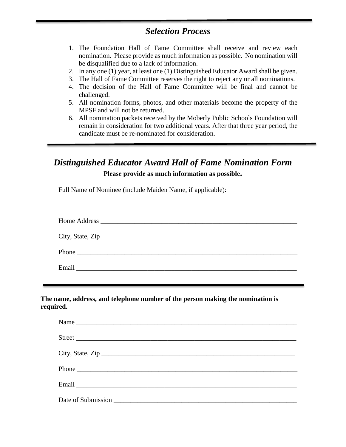### *Selection Process*

- 1. The Foundation Hall of Fame Committee shall receive and review each nomination. Please provide as much information as possible. No nomination will be disqualified due to a lack of information.
- 2. In any one (1) year, at least one (1) Distinguished Educator Award shall be given.
- 3. The Hall of Fame Committee reserves the right to reject any or all nominations.
- 4. The decision of the Hall of Fame Committee will be final and cannot be challenged.
- 5. All nomination forms, photos, and other materials become the property of the MPSF and will not be returned.
- 6. All nomination packets received by the Moberly Public Schools Foundation will remain in consideration for two additional years. After that three year period, the candidate must be re-nominated for consideration.

## *Distinguished Educator Award Hall of Fame Nomination Form*

**Please provide as much information as possible.** 

Full Name of Nominee (include Maiden Name, if applicable):

| City, State, Zip |
|------------------|
| Phone            |
|                  |

\_\_\_\_\_\_\_\_\_\_\_\_\_\_\_\_\_\_\_\_\_\_\_\_\_\_\_\_\_\_\_\_\_\_\_\_\_\_\_\_\_\_\_\_\_\_\_\_\_\_\_\_\_\_\_\_\_\_\_\_\_\_\_\_\_\_\_\_\_\_

**The name, address, and telephone number of the person making the nomination is required.**

| Name             |  |
|------------------|--|
|                  |  |
| City, State, Zip |  |
|                  |  |
|                  |  |
|                  |  |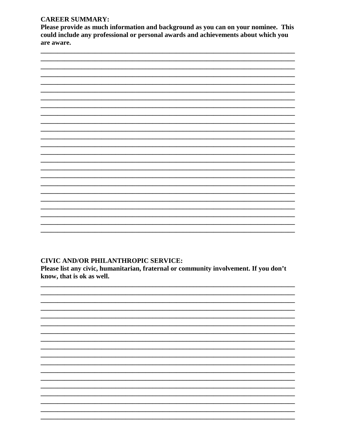#### **CAREER SUMMARY:**

Please provide as much information and background as you can on your nominee. This could include any professional or personal awards and achievements about which you are aware.



#### **CIVIC AND/OR PHILANTHROPIC SERVICE:**

Please list any civic, humanitarian, fraternal or community involvement. If you don't know, that is ok as well.